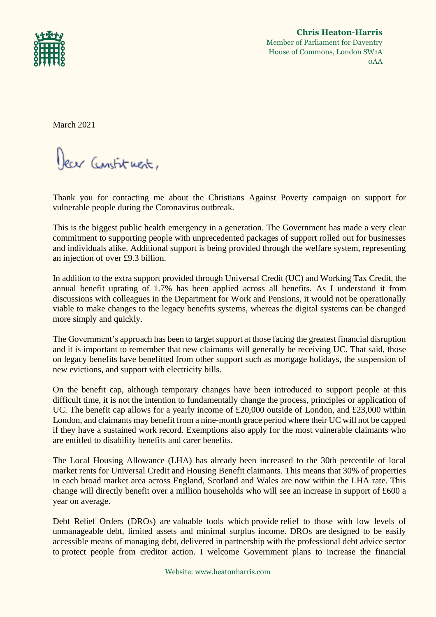

**Chris Heaton-Harris** Member of Parliament for Daventry House of Commons, London SW1A 0AA

March 2021

Dear Constituent,

Thank you for contacting me about the Christians Against Poverty campaign on support for vulnerable people during the Coronavirus outbreak.

This is the biggest public health emergency in a generation. The Government has made a very clear commitment to supporting people with unprecedented packages of support rolled out for businesses and individuals alike. Additional support is being provided through the welfare system, representing an injection of over £9.3 billion.

In addition to the extra support provided through Universal Credit (UC) and Working Tax Credit, the annual benefit uprating of 1.7% has been applied across all benefits. As I understand it from discussions with colleagues in the Department for Work and Pensions, it would not be operationally viable to make changes to the legacy benefits systems, whereas the digital systems can be changed more simply and quickly.

The Government's approach has been to target support at those facing the greatest financial disruption and it is important to remember that new claimants will generally be receiving UC. That said, those on legacy benefits have benefitted from other support such as mortgage holidays, the suspension of new evictions, and support with electricity bills.

On the benefit cap, although temporary changes have been introduced to support people at this difficult time, it is not the intention to fundamentally change the process, principles or application of UC. The benefit cap allows for a yearly income of £20,000 outside of London, and £23,000 within London, and claimants may benefit from a nine-month grace period where their UC will not be capped if they have a sustained work record. Exemptions also apply for the most vulnerable claimants who are entitled to disability benefits and carer benefits.

The Local Housing Allowance (LHA) has already been increased to the 30th percentile of local market rents for Universal Credit and Housing Benefit claimants. This means that 30% of properties in each broad market area across England, Scotland and Wales are now within the LHA rate. This change will directly benefit over a million households who will see an increase in support of £600 a year on average.

Debt Relief Orders (DROs) are valuable tools which provide relief to those with low levels of unmanageable debt, limited assets and minimal surplus income. DROs are designed to be easily accessible means of managing debt, delivered in partnership with the professional debt advice sector to protect people from creditor action. I welcome Government plans to increase the financial